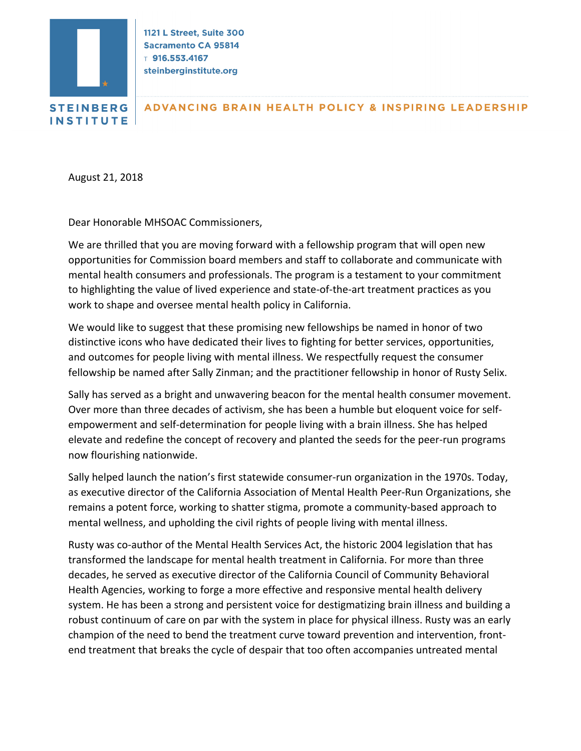

1121 L Street, Suite 300 **Sacramento CA 95814**  $T$  916.553.4167 steinberginstitute.org

**ADVANCING BRAIN HEALTH POLICY & INSPIRING LEADERSHIP** 

August 21, 2018

Dear Honorable MHSOAC Commissioners,

We are thrilled that you are moving forward with a fellowship program that will open new opportunities for Commission board members and staff to collaborate and communicate with mental health consumers and professionals. The program is a testament to your commitment to highlighting the value of lived experience and state-of-the-art treatment practices as you work to shape and oversee mental health policy in California.

We would like to suggest that these promising new fellowships be named in honor of two distinctive icons who have dedicated their lives to fighting for better services, opportunities, and outcomes for people living with mental illness. We respectfully request the consumer fellowship be named after Sally Zinman; and the practitioner fellowship in honor of Rusty Selix.

Sally has served as a bright and unwavering beacon for the mental health consumer movement. Over more than three decades of activism, she has been a humble but eloquent voice for selfempowerment and self-determination for people living with a brain illness. She has helped elevate and redefine the concept of recovery and planted the seeds for the peer-run programs now flourishing nationwide.

Sally helped launch the nation's first statewide consumer-run organization in the 1970s. Today, as executive director of the California Association of Mental Health Peer-Run Organizations, she remains a potent force, working to shatter stigma, promote a community-based approach to mental wellness, and upholding the civil rights of people living with mental illness.

Rusty was co-author of the Mental Health Services Act, the historic 2004 legislation that has transformed the landscape for mental health treatment in California. For more than three decades, he served as executive director of the California Council of Community Behavioral Health Agencies, working to forge a more effective and responsive mental health delivery system. He has been a strong and persistent voice for destigmatizing brain illness and building a robust continuum of care on par with the system in place for physical illness. Rusty was an early champion of the need to bend the treatment curve toward prevention and intervention, frontend treatment that breaks the cycle of despair that too often accompanies untreated mental